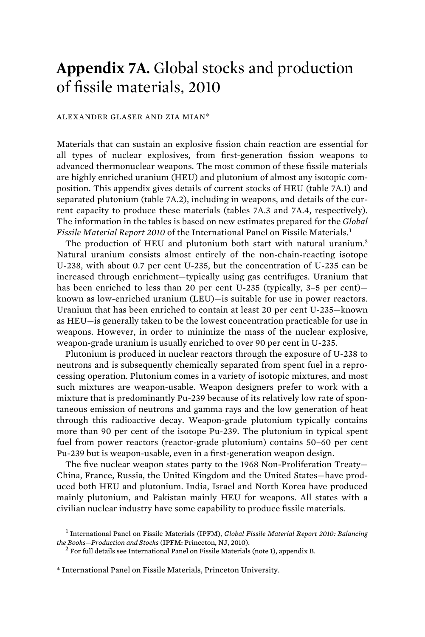## **Appendix 7A.** Global stocks and production of fissile materials, 2010

## ALEXANDER GLASER AND ZIA MIAN\*

Materials that can sustain an explosive fission chain reaction are essential for all types of nuclear explosives, from first-generation fission weapons to advanced thermonuclear weapons. The most common of these fissile materials are highly enriched uranium (HEU) and plutonium of almost any isotopic composition. This appendix gives details of current stocks of HEU (table 7A.1) and separated plutonium (table 7A.2), including in weapons, and details of the current capacity to produce these materials (tables 7A.3 and 7A.4, respectively). The information in the tables is based on new estimates prepared for the *Global Fissile Material Report 2010* of the International Panel on Fissile Materials.<sup>1</sup>

The production of HEU and plutonium both start with natural uranium.<sup>2</sup> Natural uranium consists almost entirely of the non-chain-reacting isotope U-238, with about 0.7 per cent U-235, but the concentration of U-235 can be increased through enrichment—typically using gas centrifuges. Uranium that has been enriched to less than 20 per cent U-235 (typically, 3–5 per cent) known as low-enriched uranium (LEU)—is suitable for use in power reactors. Uranium that has been enriched to contain at least 20 per cent U-235—known as HEU—is generally taken to be the lowest concentration practicable for use in weapons. However, in order to minimize the mass of the nuclear explosive, weapon-grade uranium is usually enriched to over 90 per cent in U-235.

Plutonium is produced in nuclear reactors through the exposure of U-238 to neutrons and is subsequently chemically separated from spent fuel in a reprocessing operation. Plutonium comes in a variety of isotopic mixtures, and most such mixtures are weapon-usable. Weapon designers prefer to work with a mixture that is predominantly Pu-239 because of its relatively low rate of spontaneous emission of neutrons and gamma rays and the low generation of heat through this radioactive decay. Weapon-grade plutonium typically contains more than 90 per cent of the isotope Pu-239. The plutonium in typical spent fuel from power reactors (reactor-grade plutonium) contains 50–60 per cent Pu-239 but is weapon-usable, even in a first-generation weapon design.

The five nuclear weapon states party to the 1968 Non-Proliferation Treaty— China, France, Russia, the United Kingdom and the United States—have produced both HEU and plutonium. India, Israel and North Korea have produced mainly plutonium, and Pakistan mainly HEU for weapons. All states with a civilian nuclear industry have some capability to produce fissile materials.

<sup>1</sup> International Panel on Fissile Materials (IPFM), *Global Fissile Material Report 2010: Balancing*  the Books-Production and Stocks (IPFM: Princeton, NJ, 2010).

 $2$  For full details see International Panel on Fissile Materials (note 1), appendix B.

<sup>\*</sup> International Panel on Fissile Materials, Princeton University.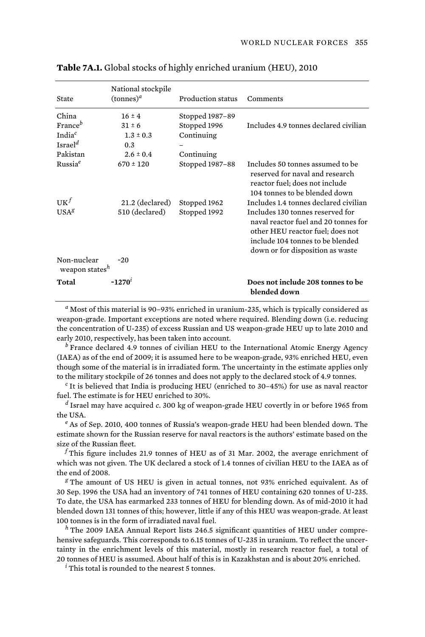| State                                     | National stockpile<br>$(\text{tonnes})^d$ | Production status | Comments                                                                                                                                                                             |
|-------------------------------------------|-------------------------------------------|-------------------|--------------------------------------------------------------------------------------------------------------------------------------------------------------------------------------|
| China                                     | $16 \pm 4$                                | Stopped 1987-89   |                                                                                                                                                                                      |
| France <sup>b</sup>                       | $31 \pm 6$                                | Stopped 1996      | Includes 4.9 tonnes declared civilian                                                                                                                                                |
| India <sup>c</sup>                        | $1.3 \pm 0.3$                             | Continuing        |                                                                                                                                                                                      |
| Israel <sup>d</sup>                       | 0.3                                       |                   |                                                                                                                                                                                      |
| Pakistan                                  | $2.6 \pm 0.4$                             | Continuing        |                                                                                                                                                                                      |
| Russia <sup>e</sup>                       | $670 \pm 120$                             | Stopped 1987-88   | Includes 50 tonnes assumed to be<br>reserved for naval and research<br>reactor fuel; does not include<br>104 tonnes to be blended down                                               |
| $\mathbf{U}\mathbf{K}^f$                  | 21.2 (declared)                           | Stopped 1962      | Includes 1.4 tonnes declared civilian                                                                                                                                                |
| USA <sup>g</sup>                          | 510 (declared)                            | Stopped 1992      | Includes 130 tonnes reserved for<br>naval reactor fuel and 20 tonnes for<br>other HEU reactor fuel; does not<br>include 104 tonnes to be blended<br>down or for disposition as waste |
| Non-nuclear<br>weapon states <sup>h</sup> | $-20$                                     |                   |                                                                                                                                                                                      |
| Total                                     | $~1270^t$                                 |                   | Does not include 208 tonnes to be<br>blended down                                                                                                                                    |

**Table 7A.1.** Global stocks of highly enriched uranium (HEU), 2010

*a* Most of this material is 90–93% enriched in uranium-235, which is typically considered as weapon-grade. Important exceptions are noted where required. Blending down (i.e. reducing the concentration of U-235) of excess Russian and US weapon-grade HEU up to late 2010 and early 2010, respectively, has been taken into account.

*b* France declared 4.9 tonnes of civilian HEU to the International Atomic Energy Agency (IAEA) as of the end of 2009; it is assumed here to be weapon-grade, 93% enriched HEU, even though some of the material is in irradiated form. The uncertainty in the estimate applies only to the military stockpile of 26 tonnes and does not apply to the declared stock of 4.9 tonnes.

*c* It is believed that India is producing HEU (enriched to 30–45%) for use as naval reactor fuel. The estimate is for HEU enriched to 30%.

*d* Israel may have acquired *c*. 300 kg of weapon-grade HEU covertly in or before 1965 from the USA.

*e* As of Sep. 2010, 400 tonnes of Russia's weapon-grade HEU had been blended down. The estimate shown for the Russian reserve for naval reactors is the authors' estimate based on the size of the Russian fleet.

*f* This figure includes 21.9 tonnes of HEU as of 31 Mar. 2002, the average enrichment of which was not given. The UK declared a stock of 1.4 tonnes of civilian HEU to the IAEA as of the end of 2008.

*g* The amount of US HEU is given in actual tonnes, not 93% enriched equivalent. As of 30 Sep. 1996 the USA had an inventory of 741 tonnes of HEU containing 620 tonnes of U-235. To date, the USA has earmarked 233 tonnes of HEU for blending down. As of mid-2010 it had blended down 131 tonnes of this; however, little if any of this HEU was weapon-grade. At least 100 tonnes is in the form of irradiated naval fuel.

*<sup>h</sup>* The 2009 IAEA Annual Report lists 246.5 significant quantities of HEU under comprehensive safeguards. This corresponds to 6.15 tonnes of U-235 in uranium. To reflect the uncertainty in the enrichment levels of this material, mostly in research reactor fuel, a total of 20 tonnes of HEU is assumed. About half of this is in Kazakhstan and is about 20% enriched.

*i* This total is rounded to the nearest 5 tonnes.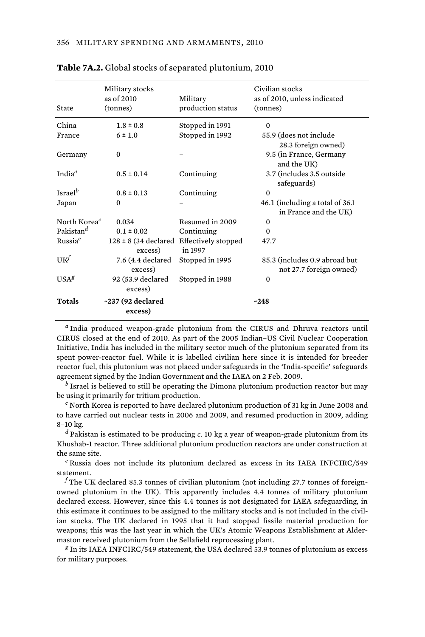| State                    | Military stocks<br>as of 2010<br>(tonnes)               | Military<br>production status | Civilian stocks<br>as of 2010, unless indicated<br>(tonnes) |
|--------------------------|---------------------------------------------------------|-------------------------------|-------------------------------------------------------------|
| China                    | $1.8 \pm 0.8$                                           | Stopped in 1991               | $\Omega$                                                    |
| France                   | $6 \pm 1.0$                                             | Stopped in 1992               | 55.9 (does not include<br>28.3 foreign owned)               |
| Germany                  | $\Omega$                                                |                               | 9.5 (in France, Germany<br>and the UK)                      |
| India $a$                | $0.5 \pm 0.14$                                          | Continuing                    | 3.7 (includes 3.5 outside<br>safeguards)                    |
| Israel <sup>b</sup>      | $0.8 \pm 0.13$                                          | Continuing                    | $\Omega$                                                    |
| Japan                    | $\Omega$                                                |                               | 46.1 (including a total of 36.1)<br>in France and the UK)   |
| North Korea <sup>c</sup> | 0.034                                                   | Resumed in 2009               | $\Omega$                                                    |
| Pakistan <sup>d</sup>    | $0.1 \pm 0.02$                                          | Continuing                    | 0                                                           |
| Russia <sup>e</sup>      | $128 \pm 8$ (34 declared Effectively stopped<br>excess) | in 1997                       | 47.7                                                        |
| $UK^{f}$                 | 7.6 (4.4 declared<br>excess)                            | Stopped in 1995               | 85.3 (includes 0.9 abroad but<br>not 27.7 foreign owned)    |
| $USA^g$                  | 92 (53.9 declared<br>excess)                            | Stopped in 1988               | $\Omega$                                                    |
| <b>Totals</b>            | ~237 (92 declared<br>excess)                            |                               | ~248                                                        |

## **Table 7A.2.** Global stocks of separated plutonium, 2010

*a* India produced weapon-grade plutonium from the CIRUS and Dhruva reactors until CIRUS closed at the end of 2010. As part of the 2005 Indian–US Civil Nuclear Cooperation Initiative, India has included in the military sector much of the plutonium separated from its spent power-reactor fuel. While it is labelled civilian here since it is intended for breeder reactor fuel, this plutonium was not placed under safeguards in the 'India-specific' safeguards agreement signed by the Indian Government and the IAEA on 2 Feb. 2009.

*b* Israel is believed to still be operating the Dimona plutonium production reactor but may be using it primarily for tritium production.

*c* North Korea is reported to have declared plutonium production of 31 kg in June 2008 and to have carried out nuclear tests in 2006 and 2009, and resumed production in 2009, adding 8–10 kg.

*d* Pakistan is estimated to be producing *c*. 10 kg a year of weapon-grade plutonium from its Khushab-1 reactor. Three additional plutonium production reactors are under construction at the same site.

*e* Russia does not include its plutonium declared as excess in its IAEA INFCIRC/549 statement.

*f* The UK declared 85.3 tonnes of civilian plutonium (not including 27.7 tonnes of foreignowned plutonium in the UK). This apparently includes 4.4 tonnes of military plutonium declared excess. However, since this 4.4 tonnes is not designated for IAEA safeguarding, in this estimate it continues to be assigned to the military stocks and is not included in the civilian stocks. The UK declared in 1995 that it had stopped fissile material production for weapons; this was the last year in which the UK's Atomic Weapons Establishment at Aldermaston received plutonium from the Sellafield reprocessing plant.

*g* In its IAEA INFCIRC/549 statement, the USA declared 53.9 tonnes of plutonium as excess for military purposes.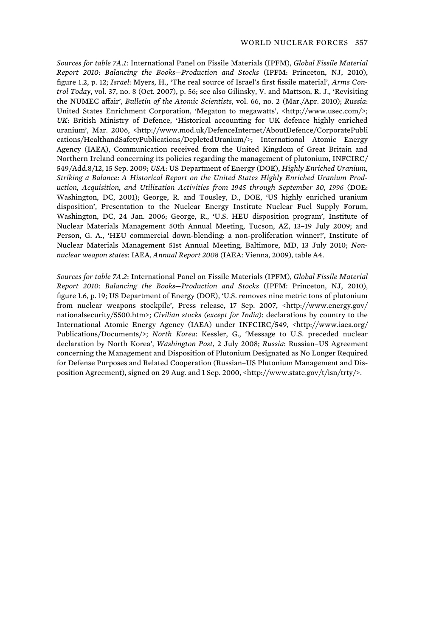*Sources for table 7A.1*: International Panel on Fissile Materials (IPFM), *Global Fissile Material Report 2010: Balancing the Books—Production and Stocks* (IPFM: Princeton, NJ, 2010), figure 1.2, p. 12; *Israel*: Myers, H., 'The real source of Israel's first fissile material', *Arms Control Today*, vol. 37, no. 8 (Oct. 2007), p. 56; see also Gilinsky, V. and Mattson, R. J., 'Revisiting the NUMEC affair', *Bulletin of the Atomic Scientists*, vol. 66, no. 2 (Mar./Apr. 2010); *Russia*: United States Enrichment Corporation, 'Megaton to megawatts', <http://www.usec.com/>; *UK*: British Ministry of Defence, 'Historical accounting for UK defence highly enriched uranium', Mar. 2006, <http://www.mod.uk/DefenceInternet/AboutDefence/CorporatePubli cations/HealthandSafetyPublications/DepletedUranium/>; International Atomic Energy Agency (IAEA), Communication received from the United Kingdom of Great Britain and Northern Ireland concerning its policies regarding the management of plutonium, INFCIRC/ 549/Add.8/12, 15 Sep. 2009; *USA*: US Department of Energy (DOE), *Highly Enriched Uranium, Striking a Balance: A Historical Report on the United States Highly Enriched Uranium Production, Acquisition, and Utilization Activities from 1945 through September 30, 1996* (DOE: Washington, DC, 2001); George, R. and Tousley, D., DOE, 'US highly enriched uranium disposition', Presentation to the Nuclear Energy Institute Nuclear Fuel Supply Forum, Washington, DC, 24 Jan. 2006; George, R., 'U.S. HEU disposition program', Institute of Nuclear Materials Management 50th Annual Meeting, Tucson, AZ, 13–19 July 2009; and Person, G. A., 'HEU commercial down-blending: a non-proliferation winner!', Institute of Nuclear Materials Management 51st Annual Meeting, Baltimore, MD, 13 July 2010; *Nonnuclear weapon states*: IAEA, *Annual Report 2008* (IAEA: Vienna, 2009), table A4.

*Sources for table 7A.2*: International Panel on Fissile Materials (IPFM), *Global Fissile Material Report 2010: Balancing the Books—Production and Stocks* (IPFM: Princeton, NJ, 2010), figure 1.6, p. 19; US Department of Energy (DOE), 'U.S. removes nine metric tons of plutonium from nuclear weapons stockpile', Press release, 17 Sep. 2007, <http://www.energy.gov/ nationalsecurity/5500.htm>; *Civilian stocks (except for India)*: declarations by country to the International Atomic Energy Agency (IAEA) under INFCIRC/549, <http://www.iaea.org/ Publications/Documents/>; *North Korea*: Kessler, G., 'Message to U.S. preceded nuclear declaration by North Korea', *Washington Post*, 2 July 2008; *Russia*: Russian–US Agreement concerning the Management and Disposition of Plutonium Designated as No Longer Required for Defense Purposes and Related Cooperation (Russian–US Plutonium Management and Disposition Agreement), signed on 29 Aug. and 1 Sep. 2000, <http://www.state.gov/t/isn/trty/>.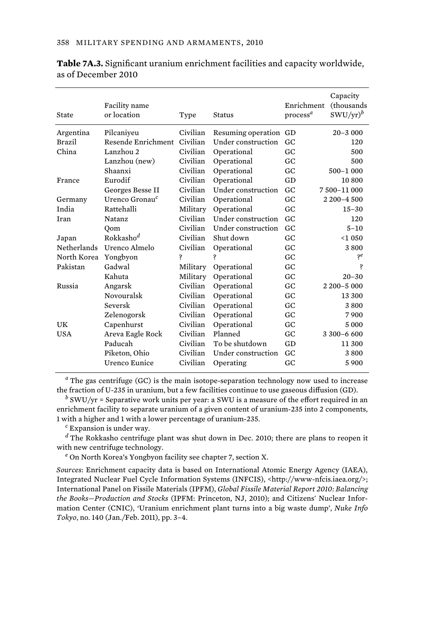| State         | Facility name<br>or location | Type     | Status                | Enrichment<br>$\mathbf{process}^a$ | Capacity<br>(thousands<br>$SWU/yr)^b$ |
|---------------|------------------------------|----------|-----------------------|------------------------------------|---------------------------------------|
| Argentina     | Pilcaniyeu                   | Civilian | Resuming operation GD |                                    | $20 - 3000$                           |
| <b>Brazil</b> | Resende Enrichment           | Civilian | Under construction    | GC.                                | 120                                   |
| China         | Lanzhou 2                    | Civilian | Operational           | GC.                                | 500                                   |
|               | Lanzhou (new)                | Civilian | Operational           | GC.                                | 500                                   |
|               | Shaanxi                      | Civilian | Operational           | GC                                 | 500-1 000                             |
| France        | Eurodif                      | Civilian | Operational           | GD                                 | 10 800                                |
|               | Georges Besse II             | Civilian | Under construction    | GC.                                | 7500-11000                            |
| Germany       | Urenco Gronau <sup>c</sup>   | Civilian | Operational           | GC                                 | 2 200-4 500                           |
| India         | Rattehalli                   | Military | Operational           | GC.                                | $15 - 30$                             |
| <b>Iran</b>   | <b>Natanz</b>                | Civilian | Under construction    | G <sub>C</sub>                     | 120                                   |
|               | Oom                          | Civilian | Under construction    | GC.                                | $5 - 10$                              |
| Japan         | $R$ okkasho <sup>d</sup>     | Civilian | Shut down             | G <sub>C</sub>                     | $<$ 1 050                             |
| Netherlands   | Urenco Almelo                | Civilian | Operational           | GC                                 | 3800                                  |
| North Korea   | Yongbyon                     | Ś        | Ś                     | GC                                 | Şб                                    |
| Pakistan      | Gadwal                       | Military | Operational           | GC.                                | Ś                                     |
|               | Kahuta                       | Military | Operational           | $G_{C}$                            | $20 - 30$                             |
| Russia        | Angarsk                      | Civilian | Operational           | GC                                 | 2 200-5 000                           |
|               | Novouralsk                   | Civilian | Operational           | GC                                 | 13 300                                |
|               | Seversk                      | Civilian | Operational           | GC.                                | 3800                                  |
|               | Zelenogorsk                  | Civilian | Operational           | GC                                 | 7900                                  |
| UK            | Capenhurst                   | Civilian | Operational           | GC                                 | 5 0 0 0                               |
| USA           | Areva Eagle Rock             | Civilian | Planned               | GC.                                | $3,300 - 6,600$                       |
|               | Paducah                      | Civilian | To be shutdown        | GD                                 | 11 300                                |
|               | Piketon, Ohio                | Civilian | Under construction    | GC                                 | 3800                                  |
|               | Urenco Eunice                | Civilian | Operating             | GC                                 | 5900                                  |
|               |                              |          |                       |                                    |                                       |

## **Table 7A.3.** Significant uranium enrichment facilities and capacity worldwide, as of December 2010

*a* The gas centrifuge (GC) is the main isotope-separation technology now used to increase the fraction of U-235 in uranium, but a few facilities continue to use gaseous diffusion (GD).

*b* SWU/yr = Separative work units per year: a SWU is a measure of the effort required in an enrichment facility to separate uranium of a given content of uranium-235 into 2 components, 1 with a higher and 1 with a lower percentage of uranium-235.

*c* Expansion is under way.

*d* The Rokkasho centrifuge plant was shut down in Dec. 2010; there are plans to reopen it with new centrifuge technology.

*e* On North Korea's Yongbyon facility see chapter 7, section X.

*Sources*: Enrichment capacity data is based on International Atomic Energy Agency (IAEA), Integrated Nuclear Fuel Cycle Information Systems (INFCIS), <http://www-nfcis.iaea.org/>; International Panel on Fissile Materials (IPFM), *Global Fissile Material Report 2010: Balancing the Books—Production and Stocks* (IPFM: Princeton, NJ, 2010); and Citizens' Nuclear Information Center (CNIC), 'Uranium enrichment plant turns into a big waste dump', *Nuke Info Tokyo*, no. 140 (Jan./Feb. 2011), pp. 3–4.